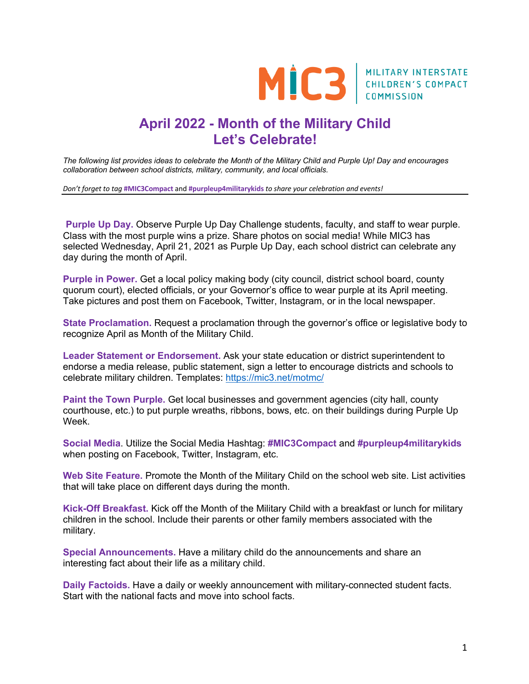

## **April 2022 - Month of the Military Child Let's Celebrate!**

*The following list provides ideas to celebrate the Month of the Military Child and Purple Up! Day and encourages collaboration between school districts, military, community, and local officials.* 

*Don't forget to tag* **#MIC3Compact** and **#purpleup4militarykids** *to share your celebration and events!*

**Purple Up Day.** Observe Purple Up Day Challenge students, faculty, and staff to wear purple. Class with the most purple wins a prize. Share photos on social media! While MIC3 has selected Wednesday, April 21, 2021 as Purple Up Day, each school district can celebrate any day during the month of April.

**Purple in Power.** Get a local policy making body (city council, district school board, county quorum court), elected officials, or your Governor's office to wear purple at its April meeting. Take pictures and post them on Facebook, Twitter, Instagram, or in the local newspaper.

**State Proclamation.** Request a proclamation through the governor's office or legislative body to recognize April as Month of the Military Child.

**Leader Statement or Endorsement.** Ask your state education or district superintendent to endorse a media release, public statement, sign a letter to encourage districts and schools to celebrate military children. Templates: https://mic3.net/motmc/

**Paint the Town Purple.** Get local businesses and government agencies (city hall, county courthouse, etc.) to put purple wreaths, ribbons, bows, etc. on their buildings during Purple Up Week.

**Social Media**. Utilize the Social Media Hashtag: **#MIC3Compact** and **#purpleup4militarykids**  when posting on Facebook, Twitter, Instagram, etc.

**Web Site Feature.** Promote the Month of the Military Child on the school web site. List activities that will take place on different days during the month.

**Kick-Off Breakfast.** Kick off the Month of the Military Child with a breakfast or lunch for military children in the school. Include their parents or other family members associated with the military.

**Special Announcements.** Have a military child do the announcements and share an interesting fact about their life as a military child.

**Daily Factoids.** Have a daily or weekly announcement with military-connected student facts. Start with the national facts and move into school facts.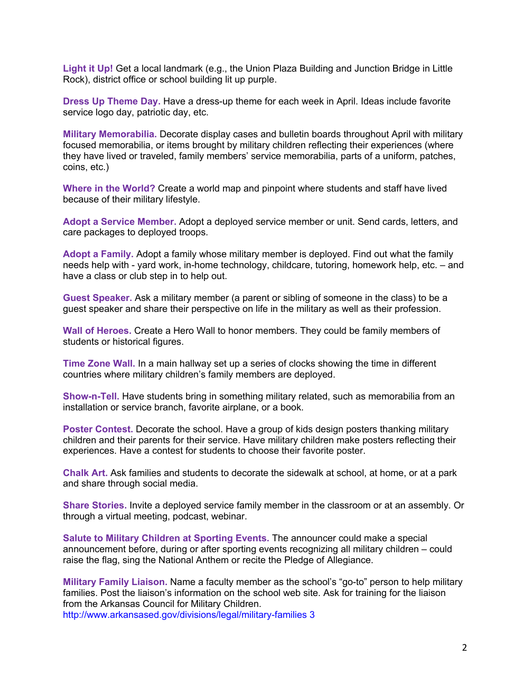**Light it Up!** Get a local landmark (e.g., the Union Plaza Building and Junction Bridge in Little Rock), district office or school building lit up purple.

**Dress Up Theme Day.** Have a dress-up theme for each week in April. Ideas include favorite service logo day, patriotic day, etc.

**Military Memorabilia.** Decorate display cases and bulletin boards throughout April with military focused memorabilia, or items brought by military children reflecting their experiences (where they have lived or traveled, family members' service memorabilia, parts of a uniform, patches, coins, etc.)

**Where in the World?** Create a world map and pinpoint where students and staff have lived because of their military lifestyle.

**Adopt a Service Member.** Adopt a deployed service member or unit. Send cards, letters, and care packages to deployed troops.

**Adopt a Family.** Adopt a family whose military member is deployed. Find out what the family needs help with - yard work, in-home technology, childcare, tutoring, homework help, etc. – and have a class or club step in to help out.

**Guest Speaker.** Ask a military member (a parent or sibling of someone in the class) to be a guest speaker and share their perspective on life in the military as well as their profession.

**Wall of Heroes.** Create a Hero Wall to honor members. They could be family members of students or historical figures.

**Time Zone Wall.** In a main hallway set up a series of clocks showing the time in different countries where military children's family members are deployed.

**Show-n-Tell.** Have students bring in something military related, such as memorabilia from an installation or service branch, favorite airplane, or a book.

**Poster Contest.** Decorate the school. Have a group of kids design posters thanking military children and their parents for their service. Have military children make posters reflecting their experiences. Have a contest for students to choose their favorite poster.

**Chalk Art.** Ask families and students to decorate the sidewalk at school, at home, or at a park and share through social media.

**Share Stories.** Invite a deployed service family member in the classroom or at an assembly. Or through a virtual meeting, podcast, webinar.

**Salute to Military Children at Sporting Events.** The announcer could make a special announcement before, during or after sporting events recognizing all military children – could raise the flag, sing the National Anthem or recite the Pledge of Allegiance.

**Military Family Liaison.** Name a faculty member as the school's "go-to" person to help military families. Post the liaison's information on the school web site. Ask for training for the liaison from the Arkansas Council for Military Children. http://www.arkansased.gov/divisions/legal/military-families 3